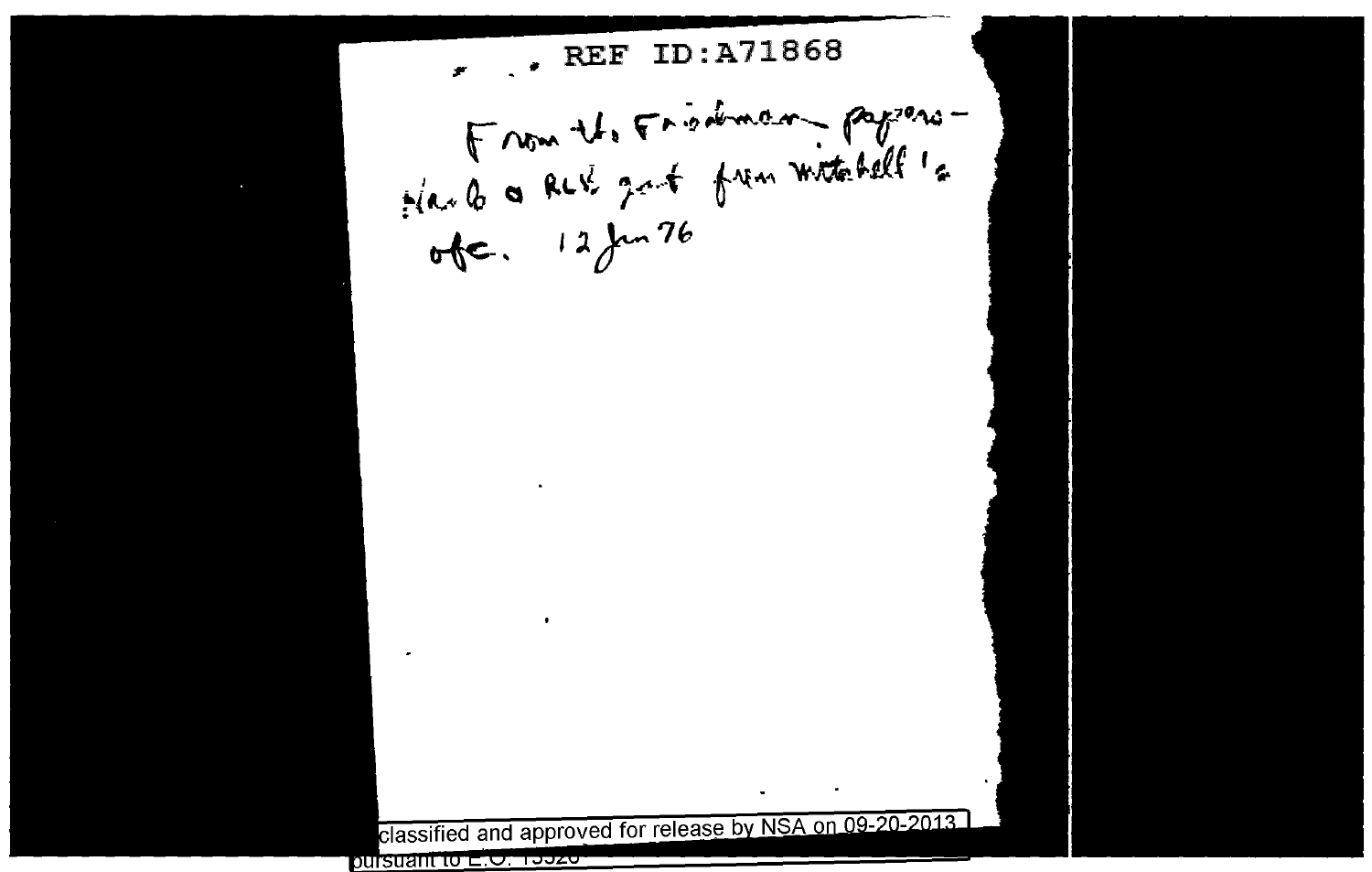, REF ID:A71868 ÷ Harles Ret gat from witchell's  $ofc. 12/m76$ classified and approved for release by NSA on 09-20-2013.

pursuant to ∟.<del>O. Too</del>zo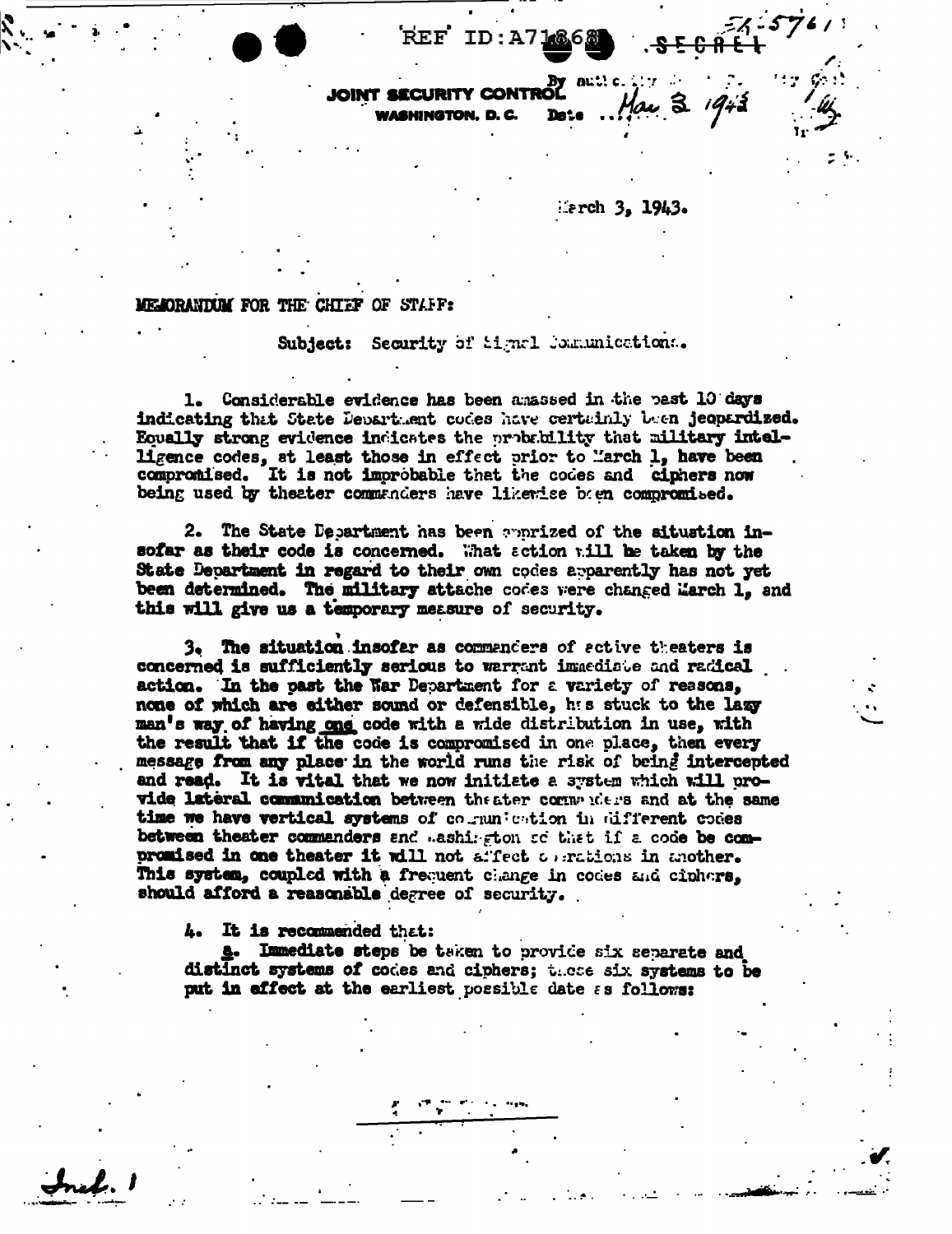REF ID:A7

 $erch 3, 1943.$ 

## MEMORANTUM FOR THE CHIEF OF STAFF:

Subject: Security of Signal Communications.

1. Considerable evidence has been amassed in the past 10 days indicating that State Department codes have certainly been jeopardized. Equally strong evidence indicates the probability that military intelligence codes, at least those in effect prior to March 1, have been compromised. It is not improbable that the codes and ciphers now being used by theater commanders have likewise been compromised.

2. The State Department has been apprized of the situation insofar as their code is concerned. What action will be taken by the State Department in regard to their own codes apparently has not yet been determined. The military attache codes were changed March 1. and this will give us a temporary measure of security.

3. The situation insofar as commanders of active theaters is concerned is sufficiently serious to warrant immediate and radical action. In the past the Nar Department for a variety of reasons, none of which are either sound or defensible, has stuck to the lazy man's way of having one code with a wide distribution in use. with the result that if the code is compromised in one place, then every message from any place in the world runs the risk of being intercepted and read. It is vital that we now initiate a system which will provide lateral communication between the ater communicated at the same time we have vertical systems of countration in different codes between theater commanders and mashington ad that if a code be compromised in one theater it will not affect objections in another. This system, coupled with a frequent change in codes and ciphers, should afford a reasonable degree of security.

4. It is recommended that:

nel.

a. Immediate steps be taken to provide six separate and distinct systems of codes and ciphers; these six systems to be put in effect at the earliest possible date as follows: